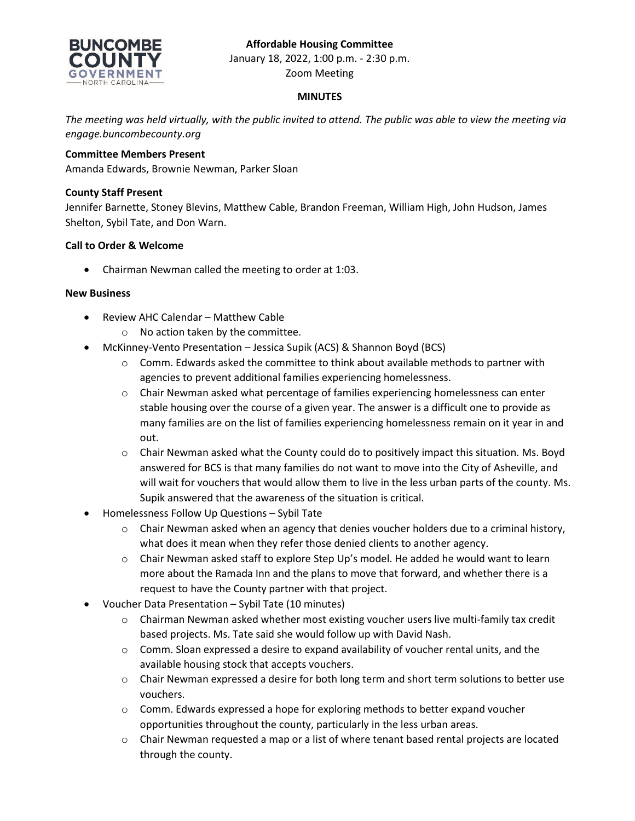# **Affordable Housing Committee**



January 18, 2022, 1:00 p.m. - 2:30 p.m. Zoom Meeting

### **MINUTES**

*The meeting was held virtually, with the public invited to attend. The public was able to view the meeting via engage.buncombecounty.org*

## **Committee Members Present**

Amanda Edwards, Brownie Newman, Parker Sloan

### **County Staff Present**

Jennifer Barnette, Stoney Blevins, Matthew Cable, Brandon Freeman, William High, John Hudson, James Shelton, Sybil Tate, and Don Warn.

### **Call to Order & Welcome**

• Chairman Newman called the meeting to order at 1:03.

#### **New Business**

- Review AHC Calendar Matthew Cable
	- o No action taken by the committee.
- McKinney-Vento Presentation Jessica Supik (ACS) & Shannon Boyd (BCS)
	- $\circ$  Comm. Edwards asked the committee to think about available methods to partner with agencies to prevent additional families experiencing homelessness.
	- $\circ$  Chair Newman asked what percentage of families experiencing homelessness can enter stable housing over the course of a given year. The answer is a difficult one to provide as many families are on the list of families experiencing homelessness remain on it year in and out.
	- $\circ$  Chair Newman asked what the County could do to positively impact this situation. Ms. Boyd answered for BCS is that many families do not want to move into the City of Asheville, and will wait for vouchers that would allow them to live in the less urban parts of the county. Ms. Supik answered that the awareness of the situation is critical.
- Homelessness Follow Up Questions Sybil Tate
	- $\circ$  Chair Newman asked when an agency that denies voucher holders due to a criminal history, what does it mean when they refer those denied clients to another agency.
	- o Chair Newman asked staff to explore Step Up's model. He added he would want to learn more about the Ramada Inn and the plans to move that forward, and whether there is a request to have the County partner with that project.
- Voucher Data Presentation Sybil Tate (10 minutes)
	- $\circ$  Chairman Newman asked whether most existing voucher users live multi-family tax credit based projects. Ms. Tate said she would follow up with David Nash.
	- $\circ$  Comm. Sloan expressed a desire to expand availability of voucher rental units, and the available housing stock that accepts vouchers.
	- o Chair Newman expressed a desire for both long term and short term solutions to better use vouchers.
	- o Comm. Edwards expressed a hope for exploring methods to better expand voucher opportunities throughout the county, particularly in the less urban areas.
	- o Chair Newman requested a map or a list of where tenant based rental projects are located through the county.